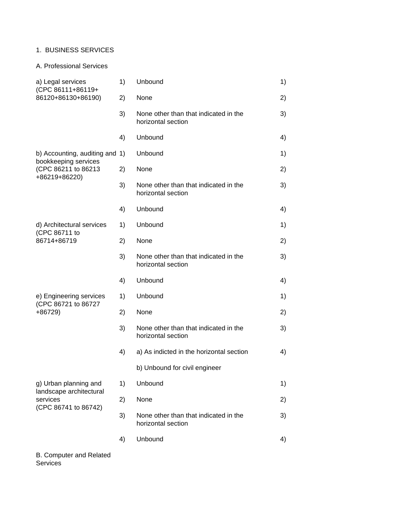#### 1. BUSINESS SERVICES

### A. Professional Services

| a) Legal services<br>(CPC 86111+86119+                      | 1) | Unbound                                                     | 1) |
|-------------------------------------------------------------|----|-------------------------------------------------------------|----|
| 86120+86130+86190)                                          | 2) | None                                                        | 2) |
|                                                             | 3) | None other than that indicated in the<br>horizontal section | 3) |
|                                                             | 4) | Unbound                                                     | 4) |
| b) Accounting, auditing and 1)<br>bookkeeping services      |    | Unbound                                                     | 1) |
| (CPC 86211 to 86213<br>+86219+86220)                        | 2) | None                                                        | 2) |
|                                                             | 3) | None other than that indicated in the<br>horizontal section | 3) |
|                                                             | 4) | Unbound                                                     | 4) |
| d) Architectural services<br>(CPC 86711 to                  | 1) | Unbound                                                     | 1) |
| 86714+86719                                                 | 2) | None                                                        | 2) |
|                                                             | 3) | None other than that indicated in the<br>horizontal section | 3) |
|                                                             | 4) | Unbound                                                     | 4) |
| e) Engineering services<br>(CPC 86721 to 86727              | 1) | Unbound                                                     | 1) |
| $+86729$                                                    | 2) | None                                                        | 2) |
|                                                             | 3) | None other than that indicated in the<br>horizontal section | 3) |
|                                                             | 4) | a) As indicted in the horizontal section                    | 4) |
|                                                             |    | b) Unbound for civil engineer                               |    |
| g) Urban planning and                                       | 1) | Unbound                                                     | 1) |
| landscape architectural<br>services<br>(CPC 86741 to 86742) | 2) | None                                                        | 2) |
|                                                             | 3) | None other than that indicated in the<br>horizontal section | 3) |
|                                                             | 4) | Unbound                                                     | 4) |

B. Computer and Related Services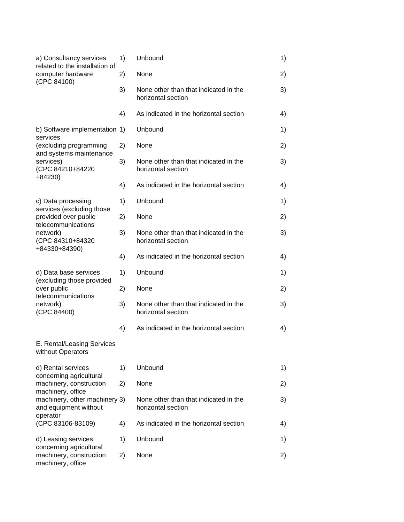| a) Consultancy services<br>related to the installation of<br>computer hardware<br>(CPC 84100) | 1) | Unbound                                                     | 1) |
|-----------------------------------------------------------------------------------------------|----|-------------------------------------------------------------|----|
|                                                                                               | 2) | None                                                        | 2) |
|                                                                                               | 3) | None other than that indicated in the<br>horizontal section | 3) |
|                                                                                               | 4) | As indicated in the horizontal section                      | 4) |
| b) Software implementation 1)<br>services                                                     |    | Unbound                                                     | 1) |
| (excluding programming<br>and systems maintenance                                             | 2) | None                                                        | 2) |
| services)<br>(CPC 84210+84220<br>$+84230$                                                     | 3) | None other than that indicated in the<br>horizontal section | 3) |
|                                                                                               | 4) | As indicated in the horizontal section                      | 4) |
| c) Data processing<br>services (excluding those                                               | 1) | Unbound                                                     | 1) |
| provided over public<br>telecommunications                                                    | 2) | None                                                        | 2) |
| network)<br>(CPC 84310+84320<br>+84330+84390)                                                 | 3) | None other than that indicated in the<br>horizontal section | 3) |
|                                                                                               | 4) | As indicated in the horizontal section                      | 4) |
| d) Data base services<br>(excluding those provided                                            | 1) | Unbound                                                     | 1) |
| over public                                                                                   | 2) | None                                                        | 2) |
| telecommunications<br>network)<br>(CPC 84400)                                                 | 3) | None other than that indicated in the<br>horizontal section | 3) |
|                                                                                               | 4) | As indicated in the horizontal section                      | 4) |
| E. Rental/Leasing Services<br>without Operators                                               |    |                                                             |    |
| d) Rental services                                                                            | 1) | Unbound                                                     | 1) |
| concerning agricultural<br>machinery, construction                                            | 2) | None                                                        | 2) |
| machinery, office<br>machinery, other machinery 3)<br>and equipment without                   |    | None other than that indicated in the<br>horizontal section | 3) |
| operator<br>(CPC 83106-83109)                                                                 | 4) | As indicated in the horizontal section                      | 4) |
| d) Leasing services                                                                           | 1) | Unbound                                                     | 1) |
| concerning agricultural<br>machinery, construction<br>machinery, office                       | 2) | None                                                        | 2) |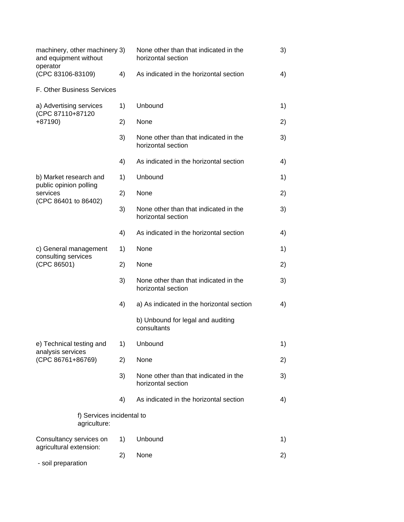| machinery, other machinery 3)<br>and equipment without<br>operator |    | None other than that indicated in the<br>horizontal section | 3) |
|--------------------------------------------------------------------|----|-------------------------------------------------------------|----|
| (CPC 83106-83109)                                                  | 4) | As indicated in the horizontal section                      | 4) |
| F. Other Business Services                                         |    |                                                             |    |
| a) Advertising services<br>(CPC 87110+87120                        | 1) | Unbound                                                     | 1) |
| $+87190$                                                           | 2) | None                                                        | 2) |
|                                                                    | 3) | None other than that indicated in the<br>horizontal section | 3) |
|                                                                    | 4) | As indicated in the horizontal section                      | 4) |
| b) Market research and<br>public opinion polling                   | 1) | Unbound                                                     | 1) |
| services<br>(CPC 86401 to 86402)                                   | 2) | None                                                        | 2) |
|                                                                    | 3) | None other than that indicated in the<br>horizontal section | 3) |
|                                                                    | 4) | As indicated in the horizontal section                      | 4) |
| c) General management<br>consulting services                       | 1) | None                                                        | 1) |
| (CPC 86501)                                                        | 2) | None                                                        | 2) |
|                                                                    | 3) | None other than that indicated in the<br>horizontal section | 3) |
|                                                                    | 4) | a) As indicated in the horizontal section                   | 4) |
|                                                                    |    | b) Unbound for legal and auditing<br>consultants            |    |
| e) Technical testing and<br>analysis services                      | 1) | Unbound                                                     | 1) |
| (CPC 86761+86769)                                                  | 2) | None                                                        | 2) |
|                                                                    | 3) | None other than that indicated in the<br>horizontal section | 3) |
|                                                                    | 4) | As indicated in the horizontal section                      | 4) |
| f) Services incidental to<br>agriculture:                          |    |                                                             |    |
| Consultancy services on                                            | 1) | Unbound                                                     | 1) |
| agricultural extension:<br>- soil preparation                      | 2) | None                                                        | 2) |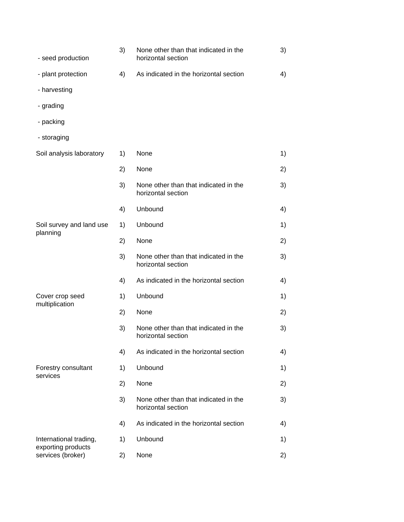| - seed production                       | 3) | None other than that indicated in the<br>horizontal section | 3) |
|-----------------------------------------|----|-------------------------------------------------------------|----|
| - plant protection                      | 4) | As indicated in the horizontal section                      | 4) |
| - harvesting                            |    |                                                             |    |
| - grading                               |    |                                                             |    |
| - packing                               |    |                                                             |    |
| - storaging                             |    |                                                             |    |
| Soil analysis laboratory                | 1) | None                                                        | 1) |
|                                         | 2) | None                                                        | 2) |
|                                         | 3) | None other than that indicated in the<br>horizontal section | 3) |
|                                         | 4) | Unbound                                                     | 4) |
| Soil survey and land use                | 1) | Unbound                                                     | 1) |
| planning                                | 2) | None                                                        | 2) |
|                                         | 3) | None other than that indicated in the<br>horizontal section | 3) |
|                                         | 4) | As indicated in the horizontal section                      | 4) |
| Cover crop seed                         | 1) | Unbound                                                     | 1) |
| multiplication                          | 2) | None                                                        | 2) |
|                                         | 3) | None other than that indicated in the<br>horizontal section | 3) |
|                                         | 4) | As indicated in the horizontal section                      | 4) |
| Forestry consultant<br>services         | 1) | Unbound                                                     | 1) |
|                                         | 2) | None                                                        | 2) |
|                                         | 3) | None other than that indicated in the<br>horizontal section | 3) |
|                                         | 4) | As indicated in the horizontal section                      | 4) |
| International trading,                  | 1) | Unbound                                                     | 1) |
| exporting products<br>services (broker) | 2) | None                                                        | 2) |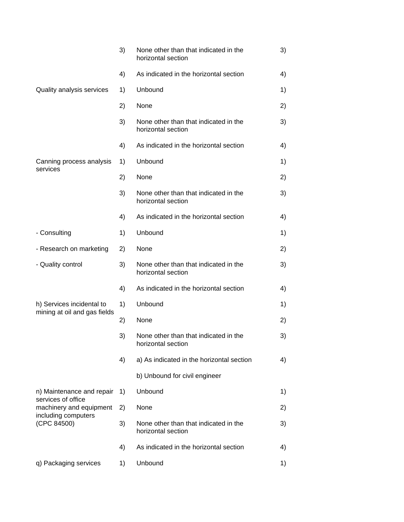|                                               | 3) | None other than that indicated in the<br>horizontal section | 3) |
|-----------------------------------------------|----|-------------------------------------------------------------|----|
|                                               | 4) | As indicated in the horizontal section                      | 4) |
| Quality analysis services                     | 1) | Unbound                                                     | 1) |
|                                               | 2) | None                                                        | 2) |
|                                               | 3) | None other than that indicated in the<br>horizontal section | 3) |
|                                               | 4) | As indicated in the horizontal section                      | 4) |
| Canning process analysis<br>services          | 1) | Unbound                                                     | 1) |
|                                               | 2) | None                                                        | 2) |
|                                               | 3) | None other than that indicated in the<br>horizontal section | 3) |
|                                               | 4) | As indicated in the horizontal section                      | 4) |
| - Consulting                                  | 1) | Unbound                                                     | 1) |
| - Research on marketing                       | 2) | None                                                        | 2) |
| - Quality control                             | 3) | None other than that indicated in the<br>horizontal section | 3) |
|                                               | 4) | As indicated in the horizontal section                      | 4) |
| h) Services incidental to                     | 1) | Unbound                                                     | 1) |
| mining at oil and gas fields                  | 2) | None                                                        | 2) |
|                                               | 3) | None other than that indicated in the<br>horizontal section | 3) |
|                                               | 4) | a) As indicated in the horizontal section                   | 4) |
|                                               |    | b) Unbound for civil engineer                               |    |
| n) Maintenance and repair                     | 1) | Unbound                                                     | 1) |
| services of office<br>machinery and equipment | 2) | None                                                        | 2) |
| including computers<br>(CPC 84500)            | 3) | None other than that indicated in the<br>horizontal section | 3) |
|                                               | 4) | As indicated in the horizontal section                      | 4) |
| q) Packaging services                         | 1) | Unbound                                                     | 1) |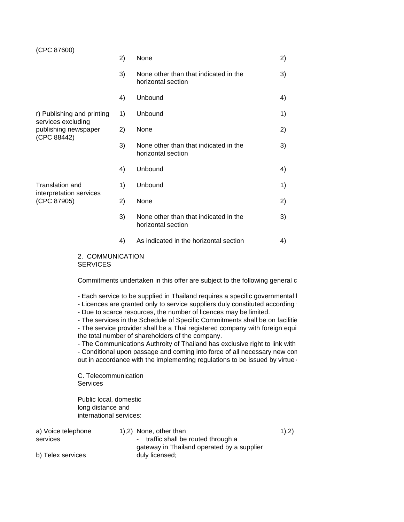# (CPC 87600) 2) None 2) 3) None other than that indicated in the 3) horizontal section 4) Unbound 4) r) Publishing and printing 1) Unbound 1) services excluding publishing newspaper 2) None 20 20 (CPC 88442) 3) None other than that indicated in the 3) horizontal section 4) Unbound 4) Translation and 1) Unbound 1 1 Unbound 1 interpretation services (CPC 87905) 2) None 2) 3) None other than that indicated in the 3) horizontal section 4) As indicated in the horizontal section 4)

2. COMMUNICATION **SERVICES** 

Commitments undertaken in this offer are subject to the following general c

- Each service to be supplied in Thailand requires a specific governmental I

- Licences are granted only to service suppliers duly constituted according to
- Due to scarce resources, the number of licences may be limited.

- The services in the Schedule of Specific Commitments shall be on facilitie - The service provider shall be a Thai registered company with foreign equition registered capital and the number of the serve the total number of shareholders of the company.

- The Communications Authroity of Thailand has exclusive right to link with

- Conditional upon passage and coming into force of all necessary new con out in accordance with the implementing regulations to be issued by virtue of

C. Telecommunication **Services** 

Public local, domestic long distance and international services:

| a) Voice telephone | 1,2) None, other than                      | 1),2) |
|--------------------|--------------------------------------------|-------|
| services           | - traffic shall be routed through a        |       |
|                    | gateway in Thailand operated by a supplier |       |
| b) Telex services  | duly licensed;                             |       |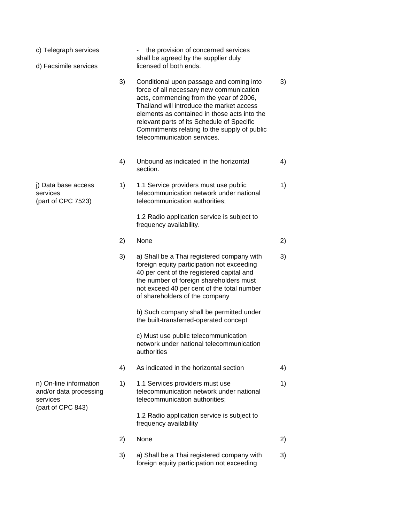| c) Telegraph services<br>d) Facsimile services                                    |    | the provision of concerned services<br>shall be agreed by the supplier duly<br>licensed of both ends.                                                                                                                                                                                                                                                     |    |
|-----------------------------------------------------------------------------------|----|-----------------------------------------------------------------------------------------------------------------------------------------------------------------------------------------------------------------------------------------------------------------------------------------------------------------------------------------------------------|----|
|                                                                                   | 3) | Conditional upon passage and coming into<br>force of all necessary new communication<br>acts, commencing from the year of 2006,<br>Thailand will introduce the market access<br>elements as contained in those acts into the<br>relevant parts of its Schedule of Specific<br>Commitments relating to the supply of public<br>telecommunication services. | 3) |
|                                                                                   | 4) | Unbound as indicated in the horizontal<br>section.                                                                                                                                                                                                                                                                                                        | 4) |
| j) Data base access<br>services<br>(part of CPC 7523)                             | 1) | 1.1 Service providers must use public<br>telecommunication network under national<br>telecommunication authorities;                                                                                                                                                                                                                                       | 1) |
|                                                                                   |    | 1.2 Radio application service is subject to<br>frequency availability.                                                                                                                                                                                                                                                                                    |    |
|                                                                                   | 2) | None                                                                                                                                                                                                                                                                                                                                                      | 2) |
|                                                                                   | 3) | a) Shall be a Thai registered company with<br>foreign equity participation not exceeding<br>40 per cent of the registered capital and<br>the number of foreign shareholders must<br>not exceed 40 per cent of the total number<br>of shareholders of the company                                                                                          | 3) |
|                                                                                   |    | b) Such company shall be permitted under<br>the built-transferred-operated concept                                                                                                                                                                                                                                                                        |    |
|                                                                                   |    | c) Must use public telecommunication<br>network under national telecommunication<br>authorities                                                                                                                                                                                                                                                           |    |
|                                                                                   | 4) | As indicated in the horizontal section                                                                                                                                                                                                                                                                                                                    | 4) |
| n) On-line information<br>and/or data processing<br>services<br>(part of CPC 843) | 1) | 1.1 Services providers must use<br>telecommunication network under national<br>telecommunication authorities;                                                                                                                                                                                                                                             | 1) |
|                                                                                   |    | 1.2 Radio application service is subject to<br>frequency availability                                                                                                                                                                                                                                                                                     |    |
|                                                                                   | 2) | None                                                                                                                                                                                                                                                                                                                                                      | 2) |
|                                                                                   | 3) | a) Shall be a Thai registered company with<br>foreign equity participation not exceeding                                                                                                                                                                                                                                                                  | 3) |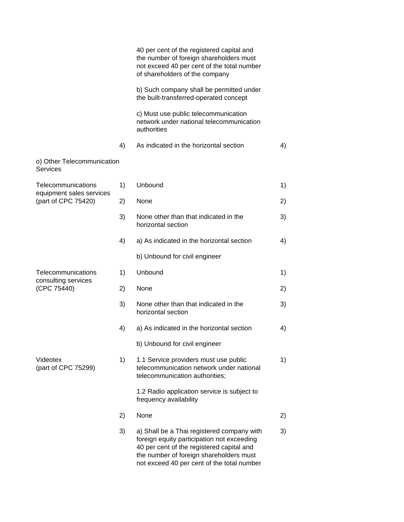|                                                |    | 40 per cent of the registered capital and<br>the number of foreign shareholders must<br>not exceed 40 per cent of the total number<br>of shareholders of the company                                                           |    |
|------------------------------------------------|----|--------------------------------------------------------------------------------------------------------------------------------------------------------------------------------------------------------------------------------|----|
|                                                |    | b) Such company shall be permitted under<br>the built-transferred-operated concept                                                                                                                                             |    |
|                                                |    | c) Must use public telecommunication<br>network under national telecommunication<br>authorities                                                                                                                                |    |
|                                                | 4) | As indicated in the horizontal section                                                                                                                                                                                         | 4) |
| o) Other Telecommunication<br>Services         |    |                                                                                                                                                                                                                                |    |
| Telecommunications<br>equipment sales services | 1) | Unbound                                                                                                                                                                                                                        | 1) |
| (part of CPC 75420)                            | 2) | None                                                                                                                                                                                                                           | 2) |
|                                                | 3) | None other than that indicated in the<br>horizontal section                                                                                                                                                                    | 3) |
|                                                | 4) | a) As indicated in the horizontal section                                                                                                                                                                                      | 4) |
|                                                |    | b) Unbound for civil engineer                                                                                                                                                                                                  |    |
| Telecommunications<br>consulting services      | 1) | Unbound                                                                                                                                                                                                                        | 1) |
| (CPC 75440)                                    | 2) | None                                                                                                                                                                                                                           | 2) |
|                                                | 3) | None other than that indicated in the<br>horizontal section                                                                                                                                                                    | 3) |
|                                                | 4) | a) As indicated in the horizontal section                                                                                                                                                                                      | 4) |
|                                                |    | b) Unbound for civil engineer                                                                                                                                                                                                  |    |
| Videotex<br>(part of CPC 75299)                | 1) | 1.1 Service providers must use public<br>telecommunication network under national<br>telecommunication authorities;                                                                                                            | 1) |
|                                                |    | 1.2 Radio application service is subject to<br>frequency availability                                                                                                                                                          |    |
|                                                | 2) | None                                                                                                                                                                                                                           | 2) |
|                                                | 3) | a) Shall be a Thai registered company with<br>foreign equity participation not exceeding<br>40 per cent of the registered capital and<br>the number of foreign shareholders must<br>not exceed 40 per cent of the total number | 3) |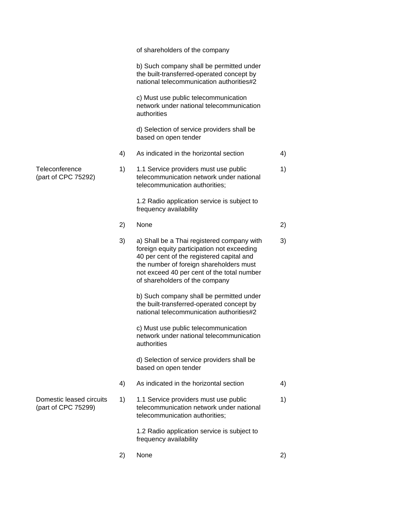|                                                 |    | of shareholders of the company                                                                                                                                                                                                                                   |    |
|-------------------------------------------------|----|------------------------------------------------------------------------------------------------------------------------------------------------------------------------------------------------------------------------------------------------------------------|----|
|                                                 |    | b) Such company shall be permitted under<br>the built-transferred-operated concept by<br>national telecommunication authorities#2                                                                                                                                |    |
|                                                 |    | c) Must use public telecommunication<br>network under national telecommunication<br>authorities                                                                                                                                                                  |    |
|                                                 |    | d) Selection of service providers shall be<br>based on open tender                                                                                                                                                                                               |    |
|                                                 | 4) | As indicated in the horizontal section                                                                                                                                                                                                                           | 4) |
| Teleconference<br>(part of CPC 75292)           | 1) | 1.1 Service providers must use public<br>telecommunication network under national<br>telecommunication authorities;                                                                                                                                              | 1) |
|                                                 |    | 1.2 Radio application service is subject to<br>frequency availability                                                                                                                                                                                            |    |
|                                                 | 2) | None                                                                                                                                                                                                                                                             | 2) |
|                                                 | 3) | a) Shall be a Thai registered company with<br>foreign equity participation not exceeding<br>40 per cent of the registered capital and<br>the number of foreign shareholders must<br>not exceed 40 per cent of the total number<br>of shareholders of the company | 3) |
|                                                 |    | b) Such company shall be permitted under<br>the built-transferred-operated concept by<br>national telecommunication authorities#2                                                                                                                                |    |
|                                                 |    | c) Must use public telecommunication<br>network under national telecommunication<br>authorities                                                                                                                                                                  |    |
|                                                 |    | d) Selection of service providers shall be<br>based on open tender                                                                                                                                                                                               |    |
|                                                 | 4) | As indicated in the horizontal section                                                                                                                                                                                                                           | 4) |
| Domestic leased circuits<br>(part of CPC 75299) | 1) | 1.1 Service providers must use public<br>telecommunication network under national<br>telecommunication authorities;                                                                                                                                              | 1) |
|                                                 |    | 1.2 Radio application service is subject to<br>frequency availability                                                                                                                                                                                            |    |
|                                                 | 2) | None                                                                                                                                                                                                                                                             | 2) |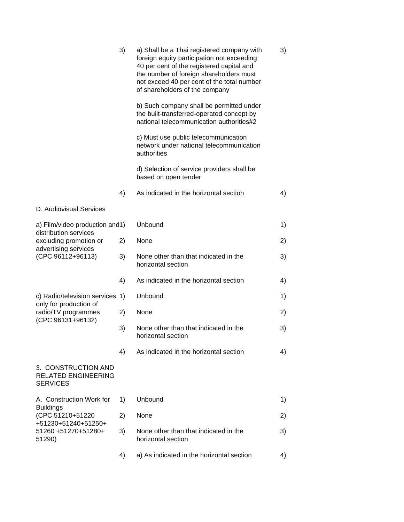|                                                                      | 3) | a) Shall be a Thai registered company with<br>foreign equity participation not exceeding<br>40 per cent of the registered capital and<br>the number of foreign shareholders must<br>not exceed 40 per cent of the total number<br>of shareholders of the company | 3) |
|----------------------------------------------------------------------|----|------------------------------------------------------------------------------------------------------------------------------------------------------------------------------------------------------------------------------------------------------------------|----|
|                                                                      |    | b) Such company shall be permitted under<br>the built-transferred-operated concept by<br>national telecommunication authorities#2                                                                                                                                |    |
|                                                                      |    | c) Must use public telecommunication<br>network under national telecommunication<br>authorities                                                                                                                                                                  |    |
|                                                                      |    | d) Selection of service providers shall be<br>based on open tender                                                                                                                                                                                               |    |
|                                                                      | 4) | As indicated in the horizontal section                                                                                                                                                                                                                           | 4) |
| D. Audiovisual Services                                              |    |                                                                                                                                                                                                                                                                  |    |
| a) Film/video production and1)                                       |    | Unbound                                                                                                                                                                                                                                                          | 1) |
| distribution services<br>excluding promotion or                      | 2) | None                                                                                                                                                                                                                                                             | 2) |
| advertising services<br>(CPC 96112+96113)                            | 3) | None other than that indicated in the<br>horizontal section                                                                                                                                                                                                      | 3) |
|                                                                      | 4) | As indicated in the horizontal section                                                                                                                                                                                                                           | 4) |
| c) Radio/television services 1)                                      |    | Unbound                                                                                                                                                                                                                                                          | 1) |
| only for production of<br>radio/TV programmes                        | 2) | None                                                                                                                                                                                                                                                             | 2) |
| (CPC 96131+96132)                                                    | 3) | None other than that indicated in the<br>horizontal section                                                                                                                                                                                                      | 3) |
|                                                                      | 4) | As indicated in the horizontal section                                                                                                                                                                                                                           | 4) |
| 3. CONSTRUCTION AND<br><b>RELATED ENGINEERING</b><br><b>SERVICES</b> |    |                                                                                                                                                                                                                                                                  |    |
| A. Construction Work for                                             | 1) | Unbound                                                                                                                                                                                                                                                          | 1) |
| <b>Buildings</b><br>(CPC 51210+51220                                 | 2) | None                                                                                                                                                                                                                                                             | 2) |
| +51230+51240+51250+<br>51260 +51270+51280+<br>51290)                 | 3) | None other than that indicated in the<br>horizontal section                                                                                                                                                                                                      | 3) |
|                                                                      | 4) | a) As indicated in the horizontal section                                                                                                                                                                                                                        | 4) |
|                                                                      |    |                                                                                                                                                                                                                                                                  |    |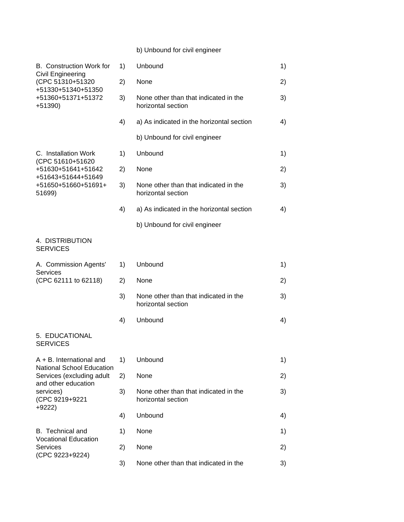## b) Unbound for civil engineer

| <b>B.</b> Construction Work for<br>Civil Engineering<br>(CPC 51310+51320<br>+51330+51340+51350<br>+51360+51371+51372<br>$+51390$ | 1) | Unbound                                                     | 1) |
|----------------------------------------------------------------------------------------------------------------------------------|----|-------------------------------------------------------------|----|
|                                                                                                                                  | 2) | None                                                        | 2) |
|                                                                                                                                  | 3) | None other than that indicated in the<br>horizontal section | 3) |
|                                                                                                                                  | 4) | a) As indicated in the horizontal section                   | 4) |
|                                                                                                                                  |    | b) Unbound for civil engineer                               |    |
| C. Installation Work                                                                                                             | 1) | Unbound                                                     | 1) |
| (CPC 51610+51620<br>+51630+51641+51642<br>+51643+51644+51649                                                                     | 2) | None                                                        | 2) |
| +51650+51660+51691+<br>51699)                                                                                                    | 3) | None other than that indicated in the<br>horizontal section | 3) |
|                                                                                                                                  | 4) | a) As indicated in the horizontal section                   | 4) |
|                                                                                                                                  |    | b) Unbound for civil engineer                               |    |
| 4. DISTRIBUTION<br><b>SERVICES</b>                                                                                               |    |                                                             |    |
| A. Commission Agents'                                                                                                            | 1) | Unbound                                                     | 1) |
| <b>Services</b><br>(CPC 62111 to 62118)                                                                                          | 2) | None                                                        | 2) |
|                                                                                                                                  | 3) | None other than that indicated in the<br>horizontal section | 3) |
|                                                                                                                                  | 4) | Unbound                                                     | 4) |
| 5. EDUCATIONAL<br><b>SERVICES</b>                                                                                                |    |                                                             |    |
| $A + B$ . International and                                                                                                      | 1) | Unbound                                                     | 1) |
| <b>National School Education</b><br>Services (excluding adult                                                                    | 2) | None                                                        | 2) |
| and other education<br>services)<br>(CPC 9219+9221                                                                               | 3) | None other than that indicated in the<br>horizontal section | 3) |
| $+9222$                                                                                                                          | 4) | Unbound                                                     | 4) |
| <b>B.</b> Technical and                                                                                                          | 1) | None                                                        | 1) |
| <b>Vocational Education</b><br><b>Services</b>                                                                                   | 2) | None                                                        | 2) |
| (CPC 9223+9224)                                                                                                                  | 3) | None other than that indicated in the                       | 3) |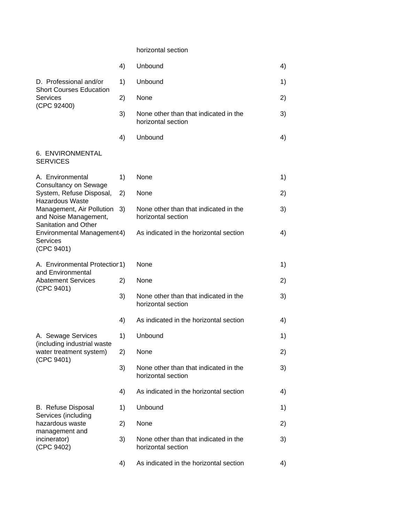#### horizontal section

|                                                                                     | 4) | Unbound                                                     | 4) |
|-------------------------------------------------------------------------------------|----|-------------------------------------------------------------|----|
| D. Professional and/or<br><b>Short Courses Education</b><br><b>Services</b>         | 1) | Unbound                                                     | 1) |
|                                                                                     | 2) | None                                                        | 2) |
| (CPC 92400)                                                                         | 3) | None other than that indicated in the<br>horizontal section | 3) |
|                                                                                     | 4) | Unbound                                                     | 4) |
| 6. ENVIRONMENTAL<br><b>SERVICES</b>                                                 |    |                                                             |    |
| A. Environmental<br>Consultancy on Sewage                                           | 1) | None                                                        | 1) |
| System, Refuse Disposal,<br><b>Hazardous Waste</b>                                  | 2) | None                                                        | 2) |
| Management, Air Pollution<br>and Noise Management,                                  | 3) | None other than that indicated in the<br>horizontal section | 3) |
| Sanitation and Other<br>Environmental Management4)<br><b>Services</b><br>(CPC 9401) |    | As indicated in the horizontal section                      | 4) |
| A. Environmental Protectior 1)<br>and Environmental                                 |    | None                                                        | 1) |
| <b>Abatement Services</b>                                                           | 2) | None                                                        | 2) |
| (CPC 9401)                                                                          | 3) | None other than that indicated in the<br>horizontal section | 3) |
|                                                                                     | 4) | As indicated in the horizontal section                      | 4) |
| A. Sewage Services                                                                  | 1) | Unbound                                                     | 1) |
| (including industrial waste<br>water treatment system)<br>(CPC 9401)                | 2) | None                                                        | 2) |
|                                                                                     | 3) | None other than that indicated in the<br>horizontal section | 3) |
|                                                                                     | 4) | As indicated in the horizontal section                      | 4) |
| <b>B.</b> Refuse Disposal<br>Services (including                                    | 1) | Unbound                                                     | 1) |
| hazardous waste<br>management and                                                   | 2) | None                                                        | 2) |
| incinerator)<br>(CPC 9402)                                                          | 3) | None other than that indicated in the<br>horizontal section | 3) |
|                                                                                     | 4) | As indicated in the horizontal section                      | 4) |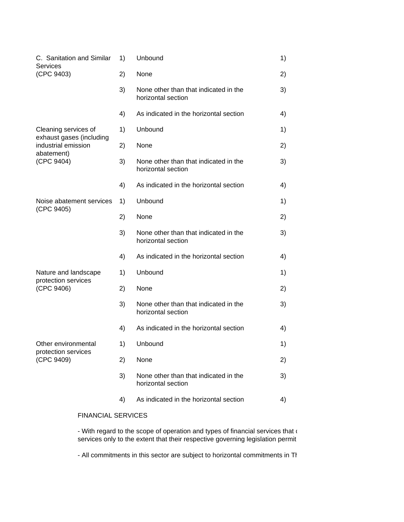| C. Sanitation and Similar<br><b>Services</b>              | 1) | Unbound                                                     | 1) |
|-----------------------------------------------------------|----|-------------------------------------------------------------|----|
| (CPC 9403)                                                | 2) | None                                                        | 2) |
|                                                           | 3) | None other than that indicated in the<br>horizontal section | 3) |
|                                                           | 4) | As indicated in the horizontal section                      | 4) |
| Cleaning services of                                      | 1) | Unbound                                                     | 1) |
| exhaust gases (including<br>industrial emission           | 2) | None                                                        | 2) |
| abatement)<br>(CPC 9404)                                  | 3) | None other than that indicated in the<br>horizontal section | 3) |
|                                                           | 4) | As indicated in the horizontal section                      | 4) |
| Noise abatement services<br>(CPC 9405)                    | 1) | Unbound                                                     | 1) |
|                                                           | 2) | None                                                        | 2) |
|                                                           | 3) | None other than that indicated in the<br>horizontal section | 3) |
|                                                           | 4) | As indicated in the horizontal section                      | 4) |
| Nature and landscape<br>protection services<br>(CPC 9406) | 1) | Unbound                                                     | 1) |
|                                                           | 2) | None                                                        | 2) |
|                                                           | 3) | None other than that indicated in the<br>horizontal section | 3) |
|                                                           | 4) | As indicated in the horizontal section                      | 4) |
| Other environmental                                       | 1) | Unbound                                                     | 1) |
| protection services<br>(CPC 9409)                         | 2) | None                                                        | 2) |
|                                                           | 3) | None other than that indicated in the<br>horizontal section | 3) |
|                                                           | 4) | As indicated in the horizontal section                      | 4) |
| <b>FINANCIAL SERVICES</b>                                 |    |                                                             |    |

- With regard to the scope of operation and types of financial services that  $\mathfrak \alpha$ services only to the extent that their respective governing legislation permit

- All commitments in this sector are subject to horizontal commitments in Thailand's schedule of specific commitments.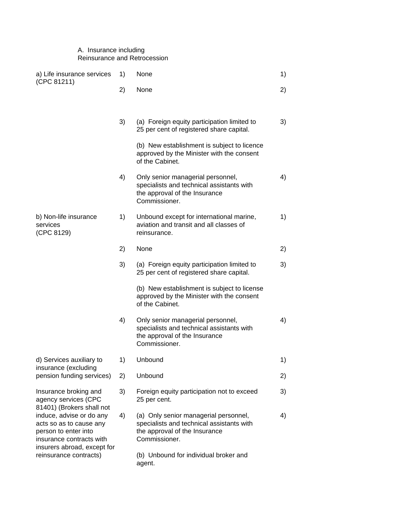### A. Insurance including Reinsurance and Retrocession

| a) Life insurance services                                                                                                             | 1) | None                                                                                                                                 | 1) |
|----------------------------------------------------------------------------------------------------------------------------------------|----|--------------------------------------------------------------------------------------------------------------------------------------|----|
| (CPC 81211)                                                                                                                            | 2) | None                                                                                                                                 | 2) |
|                                                                                                                                        |    |                                                                                                                                      |    |
|                                                                                                                                        | 3) | (a) Foreign equity participation limited to<br>25 per cent of registered share capital.                                              | 3) |
|                                                                                                                                        |    | (b) New establishment is subject to licence<br>approved by the Minister with the consent<br>of the Cabinet.                          |    |
|                                                                                                                                        | 4) | Only senior managerial personnel,<br>specialists and technical assistants with<br>the approval of the Insurance<br>Commissioner.     | 4) |
| b) Non-life insurance<br>services<br>(CPC 8129)                                                                                        | 1) | Unbound except for international marine,<br>aviation and transit and all classes of<br>reinsurance.                                  | 1) |
|                                                                                                                                        | 2) | None                                                                                                                                 | 2) |
|                                                                                                                                        | 3) | (a) Foreign equity participation limited to<br>25 per cent of registered share capital.                                              | 3) |
|                                                                                                                                        |    | (b) New establishment is subject to license<br>approved by the Minister with the consent<br>of the Cabinet.                          |    |
|                                                                                                                                        | 4) | Only senior managerial personnel,<br>specialists and technical assistants with<br>the approval of the Insurance<br>Commissioner.     | 4) |
| d) Services auxiliary to<br>insurance (excluding                                                                                       | 1) | Unbound                                                                                                                              | 1) |
| pension funding services)                                                                                                              | 2) | Unbound                                                                                                                              | 2) |
| Insurance broking and<br>agency services (CPC<br>81401) (Brokers shall not                                                             | 3) | Foreign equity participation not to exceed<br>25 per cent.                                                                           | 3) |
| induce, advise or do any<br>acts so as to cause any<br>person to enter into<br>insurance contracts with<br>insurers abroad, except for | 4) | (a) Only senior managerial personnel,<br>specialists and technical assistants with<br>the approval of the Insurance<br>Commissioner. | 4) |
| reinsurance contracts)                                                                                                                 |    | (b) Unbound for individual broker and<br>agent.                                                                                      |    |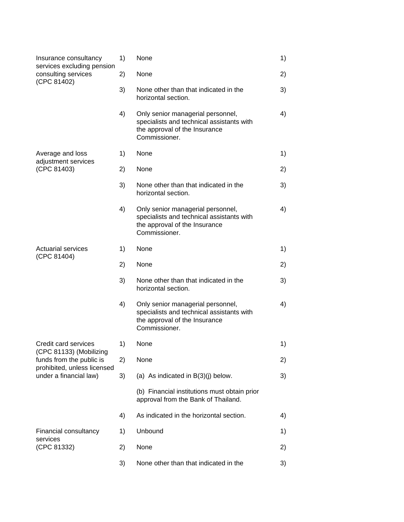| Insurance consultancy<br>services excluding pension<br>consulting services<br>(CPC 81402)                    | 1) | None                                                                                                                             | 1) |
|--------------------------------------------------------------------------------------------------------------|----|----------------------------------------------------------------------------------------------------------------------------------|----|
|                                                                                                              | 2) | None                                                                                                                             | 2) |
|                                                                                                              | 3) | None other than that indicated in the<br>horizontal section.                                                                     | 3) |
|                                                                                                              | 4) | Only senior managerial personnel,<br>specialists and technical assistants with<br>the approval of the Insurance<br>Commissioner. | 4) |
| Average and loss<br>adjustment services                                                                      | 1) | None                                                                                                                             | 1) |
| (CPC 81403)                                                                                                  | 2) | None                                                                                                                             | 2) |
|                                                                                                              | 3) | None other than that indicated in the<br>horizontal section.                                                                     | 3) |
|                                                                                                              | 4) | Only senior managerial personnel,<br>specialists and technical assistants with<br>the approval of the Insurance<br>Commissioner. | 4) |
| <b>Actuarial services</b><br>(CPC 81404)                                                                     | 1) | None                                                                                                                             | 1) |
|                                                                                                              | 2) | None                                                                                                                             | 2) |
|                                                                                                              | 3) | None other than that indicated in the<br>horizontal section.                                                                     | 3) |
|                                                                                                              | 4) | Only senior managerial personnel,<br>specialists and technical assistants with<br>the approval of the Insurance<br>Commissioner. | 4) |
| Credit card services                                                                                         | 1) | None                                                                                                                             | 1) |
| (CPC 81133) (Mobilizing<br>funds from the public is<br>prohibited, unless licensed<br>under a financial law) | 2) | None                                                                                                                             | 2) |
|                                                                                                              | 3) | (a) As indicated in $B(3)(j)$ below.                                                                                             | 3) |
|                                                                                                              |    | (b) Financial institutions must obtain prior<br>approval from the Bank of Thailand.                                              |    |
|                                                                                                              | 4) | As indicated in the horizontal section.                                                                                          | 4) |
| Financial consultancy<br>services                                                                            | 1) | Unbound                                                                                                                          | 1) |
| (CPC 81332)                                                                                                  | 2) | None                                                                                                                             | 2) |
|                                                                                                              | 3) | None other than that indicated in the                                                                                            | 3) |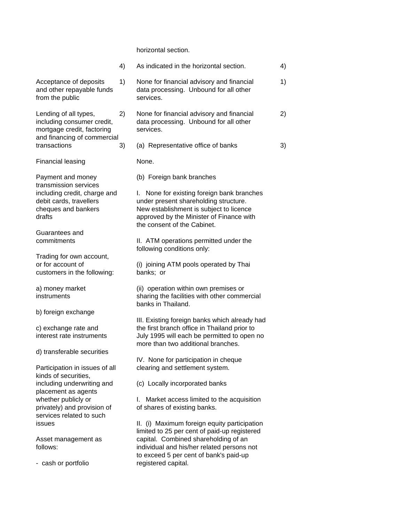horizontal section.

|                                                                                                                                                                                                                                                                          | 4) | As indicated in the horizontal section.                                                                                                                                                                                                                                                                                                                                                                                                            | 4) |
|--------------------------------------------------------------------------------------------------------------------------------------------------------------------------------------------------------------------------------------------------------------------------|----|----------------------------------------------------------------------------------------------------------------------------------------------------------------------------------------------------------------------------------------------------------------------------------------------------------------------------------------------------------------------------------------------------------------------------------------------------|----|
| Acceptance of deposits<br>and other repayable funds<br>from the public                                                                                                                                                                                                   | 1) | None for financial advisory and financial<br>data processing. Unbound for all other<br>services.                                                                                                                                                                                                                                                                                                                                                   | 1) |
| Lending of all types,<br>including consumer credit,<br>mortgage credit, factoring<br>and financing of commercial                                                                                                                                                         | 2) | None for financial advisory and financial<br>data processing. Unbound for all other<br>services.                                                                                                                                                                                                                                                                                                                                                   | 2) |
| transactions                                                                                                                                                                                                                                                             | 3) | (a) Representative office of banks                                                                                                                                                                                                                                                                                                                                                                                                                 | 3) |
| <b>Financial leasing</b>                                                                                                                                                                                                                                                 |    | None.                                                                                                                                                                                                                                                                                                                                                                                                                                              |    |
| Payment and money<br>transmission services<br>including credit, charge and<br>debit cards, travellers<br>cheques and bankers<br>drafts<br>Guarantees and<br>commitments<br>Trading for own account,<br>or for account of<br>customers in the following:                  |    | (b) Foreign bank branches<br>I. None for existing foreign bank branches<br>under present shareholding structure.<br>New establishment is subject to licence<br>approved by the Minister of Finance with<br>the consent of the Cabinet.<br>II. ATM operations permitted under the<br>following conditions only:<br>(i) joining ATM pools operated by Thai<br>banks; or                                                                              |    |
| a) money market<br>instruments                                                                                                                                                                                                                                           |    | (ii) operation within own premises or<br>sharing the facilities with other commercial<br>banks in Thailand.                                                                                                                                                                                                                                                                                                                                        |    |
| b) foreign exchange<br>c) exchange rate and<br>interest rate instruments<br>d) transferable securities                                                                                                                                                                   |    | III. Existing foreign banks which already had<br>the first branch office in Thailand prior to<br>July 1995 will each be permitted to open no<br>more than two additional branches.                                                                                                                                                                                                                                                                 |    |
| Participation in issues of all<br>kinds of securities,<br>including underwriting and<br>placement as agents<br>whether publicly or<br>privately) and provision of<br>services related to such<br><b>issues</b><br>Asset management as<br>follows:<br>- cash or portfolio |    | IV. None for participation in cheque<br>clearing and settlement system.<br>(c) Locally incorporated banks<br>Market access limited to the acquisition<br>L.<br>of shares of existing banks.<br>II. (i) Maximum foreign equity participation<br>limited to 25 per cent of paid-up registered<br>capital. Combined shareholding of an<br>individual and his/her related persons not<br>to exceed 5 per cent of bank's paid-up<br>registered capital. |    |
|                                                                                                                                                                                                                                                                          |    |                                                                                                                                                                                                                                                                                                                                                                                                                                                    |    |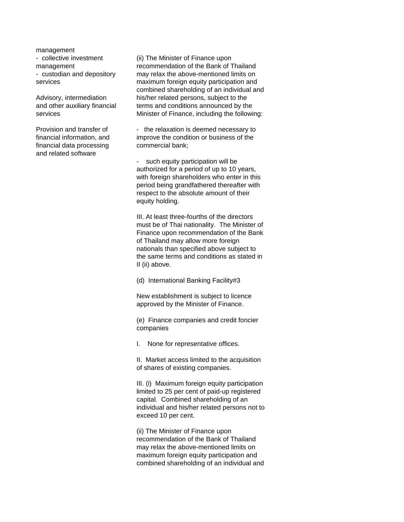management

financial data processing commercial bank; and related software

- collective investment (ii) The Minister of Finance upon management recommendation of the Bank of Thailand - custodian and depository may relax the above-mentioned limits on services maximum foreign equity participation and combined shareholding of an individual and Advisory, intermediation his/her related persons, subject to the and other auxiliary financial terms and conditions announced by the services **Minister of Finance**, including the following:

Provision and transfer of - the relaxation is deemed necessary to financial information, and improve the condition or business of the

> - such equity participation will be authorized for a period of up to 10 years, with foreign shareholders who enter in this period being grandfathered thereafter with respect to the absolute amount of their equity holding.

III. At least three-fourths of the directors must be of Thai nationality. The Minister of Finance upon recommendation of the Bank of Thailand may allow more foreign nationals than specified above subject to the same terms and conditions as stated in II (ii) above.

(d) International Banking Facility#3

New establishment is subject to licence approved by the Minister of Finance.

(e) Finance companies and credit foncier companies

I. None for representative offices.

II. Market access limited to the acquisition of shares of existing companies.

III. (i) Maximum foreign equity participation limited to 25 per cent of paid-up registered capital. Combined shareholding of an individual and his/her related persons not to exceed 10 per cent.

(ii) The Minister of Finance upon recommendation of the Bank of Thailand may relax the above-mentioned limits on maximum foreign equity participation and combined shareholding of an individual and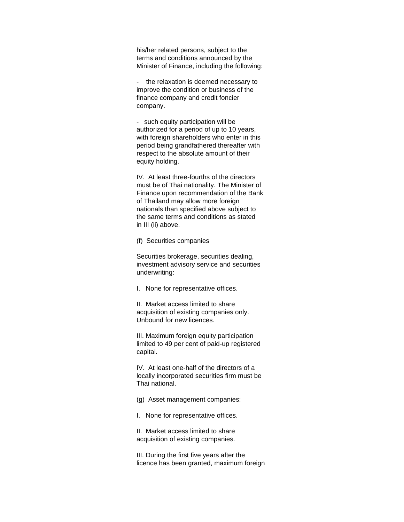his/her related persons, subject to the terms and conditions announced by the Minister of Finance, including the following:

- the relaxation is deemed necessary to improve the condition or business of the finance company and credit foncier company.

- such equity participation will be authorized for a period of up to 10 years, with foreign shareholders who enter in this period being grandfathered thereafter with respect to the absolute amount of their equity holding.

IV. At least three-fourths of the directors must be of Thai nationality. The Minister of Finance upon recommendation of the Bank of Thailand may allow more foreign nationals than specified above subject to the same terms and conditions as stated in III (ii) above.

(f) Securities companies

Securities brokerage, securities dealing, investment advisory service and securities underwriting:

I. None for representative offices.

II. Market access limited to share acquisition of existing companies only. Unbound for new licences.

III. Maximum foreign equity participation limited to 49 per cent of paid-up registered capital.

IV. At least one-half of the directors of a locally incorporated securities firm must be Thai national.

(g) Asset management companies:

I. None for representative offices.

II. Market access limited to share acquisition of existing companies.

III. During the first five years after the licence has been granted, maximum foreign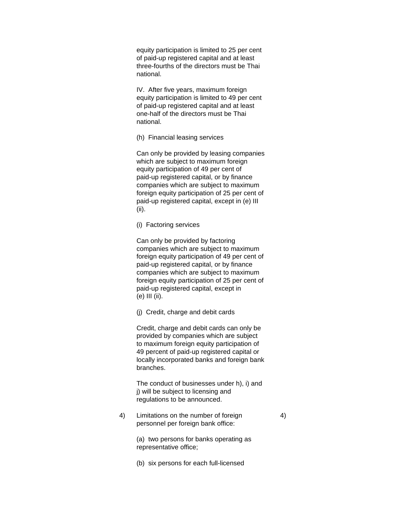equity participation is limited to 25 per cent of paid-up registered capital and at least three-fourths of the directors must be Thai national.

IV. After five years, maximum foreign equity participation is limited to 49 per cent of paid-up registered capital and at least one-half of the directors must be Thai national.

(h) Financial leasing services

Can only be provided by leasing companies which are subject to maximum foreign equity participation of 49 per cent of paid-up registered capital, or by finance companies which are subject to maximum foreign equity participation of 25 per cent of paid-up registered capital, except in (e) III (ii).

(i) Factoring services

Can only be provided by factoring companies which are subject to maximum foreign equity participation of 49 per cent of paid-up registered capital, or by finance companies which are subject to maximum foreign equity participation of 25 per cent of paid-up registered capital, except in (e) III (ii).

(j) Credit, charge and debit cards

Credit, charge and debit cards can only be provided by companies which are subject to maximum foreign equity participation of 49 percent of paid-up registered capital or locally incorporated banks and foreign bank branches.

The conduct of businesses under h), i) and j) will be subject to licensing and regulations to be announced.

4) Limitations on the number of foreign 4) personnel per foreign bank office:

> (a) two persons for banks operating as representative office;

(b) six persons for each full-licensed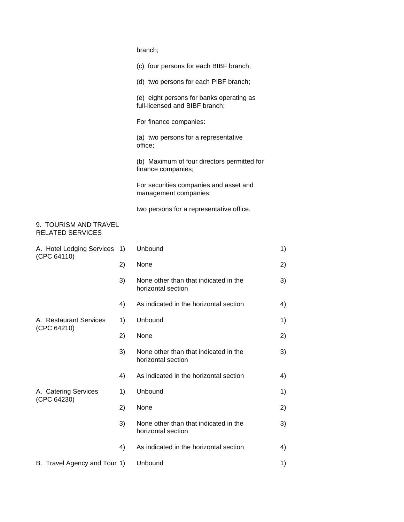| branch; |
|---------|
|---------|

|                                                  |    | (c) four persons for each BIBF branch;                                     |    |
|--------------------------------------------------|----|----------------------------------------------------------------------------|----|
|                                                  |    | (d) two persons for each PIBF branch;                                      |    |
|                                                  |    | (e) eight persons for banks operating as<br>full-licensed and BIBF branch; |    |
|                                                  |    | For finance companies:                                                     |    |
|                                                  |    | (a) two persons for a representative<br>office;                            |    |
|                                                  |    | (b) Maximum of four directors permitted for<br>finance companies;          |    |
|                                                  |    | For securities companies and asset and<br>management companies:            |    |
|                                                  |    | two persons for a representative office.                                   |    |
| 9. TOURISM AND TRAVEL<br><b>RELATED SERVICES</b> |    |                                                                            |    |
| A. Hotel Lodging Services 1)<br>(CPC 64110)      |    | Unbound                                                                    | 1) |
|                                                  | 2) | None                                                                       | 2) |
|                                                  | 3) | None other than that indicated in the<br>horizontal section                | 3) |
|                                                  | 4) | As indicated in the horizontal section                                     | 4) |
| A. Restaurant Services                           | 1) | Unbound                                                                    | 1) |
| (CPC 64210)                                      | 2) | None                                                                       | 2) |
|                                                  | 3) | None other than that indicated in the<br>horizontal section                | 3) |
|                                                  | 4) | As indicated in the horizontal section                                     | 4) |
| A. Catering Services                             | 1) | Unbound                                                                    | 1) |
| (CPC 64230)                                      | 2) | None                                                                       | 2) |
|                                                  | 3) | None other than that indicated in the<br>horizontal section                | 3) |
|                                                  | 4) | As indicated in the horizontal section                                     | 4) |
| B. Travel Agency and Tour 1)                     |    | Unbound                                                                    | 1) |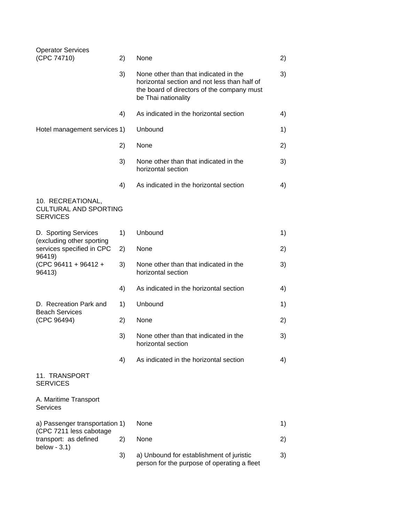| <b>Operator Services</b><br>(CPC 74710)                                                                                    | 2) | None                                                                                                                                                       | 2) |
|----------------------------------------------------------------------------------------------------------------------------|----|------------------------------------------------------------------------------------------------------------------------------------------------------------|----|
|                                                                                                                            | 3) | None other than that indicated in the<br>horizontal section and not less than half of<br>the board of directors of the company must<br>be Thai nationality | 3) |
|                                                                                                                            | 4) | As indicated in the horizontal section                                                                                                                     | 4) |
| Hotel management services 1)                                                                                               |    | Unbound                                                                                                                                                    | 1) |
|                                                                                                                            | 2) | None                                                                                                                                                       | 2) |
|                                                                                                                            | 3) | None other than that indicated in the<br>horizontal section                                                                                                | 3) |
|                                                                                                                            | 4) | As indicated in the horizontal section                                                                                                                     | 4) |
| 10. RECREATIONAL,<br><b>CULTURAL AND SPORTING</b><br><b>SERVICES</b>                                                       |    |                                                                                                                                                            |    |
| D. Sporting Services<br>(excluding other sporting<br>services specified in CPC<br>96419)<br>(CPC 96411 + 96412 +<br>96413) | 1) | Unbound                                                                                                                                                    | 1) |
|                                                                                                                            | 2) | None                                                                                                                                                       | 2) |
|                                                                                                                            | 3) | None other than that indicated in the<br>horizontal section                                                                                                | 3) |
|                                                                                                                            | 4) | As indicated in the horizontal section                                                                                                                     | 4) |
| D. Recreation Park and<br><b>Beach Services</b>                                                                            | 1) | Unbound                                                                                                                                                    | 1) |
| (CPC 96494)                                                                                                                | 2) | None                                                                                                                                                       | 2) |
|                                                                                                                            | 3) | None other than that indicated in the<br>horizontal section                                                                                                | 3) |
|                                                                                                                            | 4) | As indicated in the horizontal section                                                                                                                     | 4) |
| 11. TRANSPORT<br><b>SERVICES</b>                                                                                           |    |                                                                                                                                                            |    |
| A. Maritime Transport<br><b>Services</b>                                                                                   |    |                                                                                                                                                            |    |
| a) Passenger transportation 1)                                                                                             |    | None                                                                                                                                                       | 1) |
| (CPC 7211 less cabotage<br>transport: as defined<br>below $-3.1$ )                                                         | 2) | None                                                                                                                                                       | 2) |
|                                                                                                                            | 3) | a) Unbound for establishment of juristic<br>person for the purpose of operating a fleet                                                                    | 3) |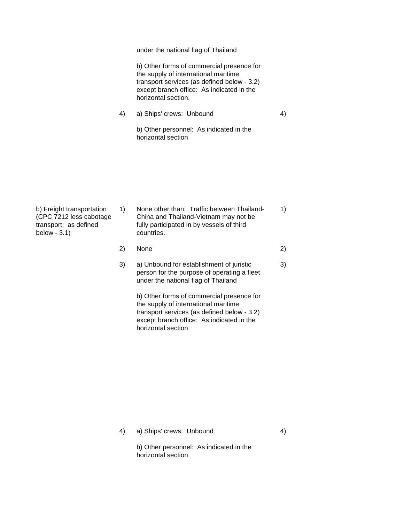under the national flag of Thailand

b) Other forms of commercial presence for the supply of international maritime transport services (as defined below - 3.2) except branch office: As indicated in the horizontal section.

4) a) Ships' crews: Unbound 4)

b) Other personnel: As indicated in the horizontal section

| b) Freight transportation<br>(CPC 7212 less cabotage)<br>transport: as defined<br>below $-3.1$ ) | 1) | None other than: Traffic between Thailand-<br>China and Thailand-Vietnam may not be<br>fully participated in by vessels of third<br>countries. | 1)           |
|--------------------------------------------------------------------------------------------------|----|------------------------------------------------------------------------------------------------------------------------------------------------|--------------|
|                                                                                                  | 2) | None                                                                                                                                           | 2)           |
|                                                                                                  |    | a) Unhound for actablishment of juristic                                                                                                       | $\mathbf{C}$ |

3) a) Unbound for establishment of juristic 3) person for the purpose of operating a fleet under the national flag of Thailand

b) Other forms of commercial presence for the supply of international maritime transport services (as defined below - 3.2) except branch office: As indicated in the horizontal section

4) a) Ships' crews: Unbound 4)

b) Other personnel: As indicated in the horizontal section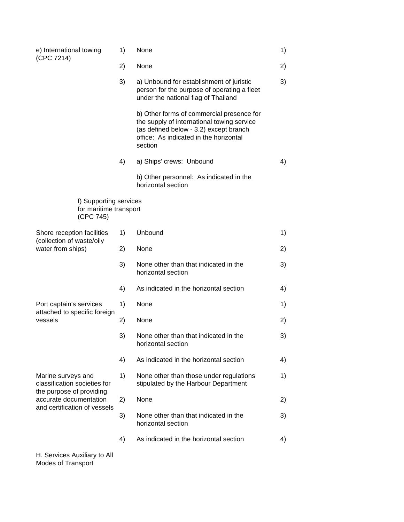| e) International towing<br>(CPC 7214)                                        | 1) | None                                                                                                                                                                                   | 1) |
|------------------------------------------------------------------------------|----|----------------------------------------------------------------------------------------------------------------------------------------------------------------------------------------|----|
|                                                                              | 2) | None                                                                                                                                                                                   | 2) |
|                                                                              | 3) | a) Unbound for establishment of juristic<br>person for the purpose of operating a fleet<br>under the national flag of Thailand                                                         | 3) |
|                                                                              |    | b) Other forms of commercial presence for<br>the supply of international towing service<br>(as defined below - 3.2) except branch<br>office: As indicated in the horizontal<br>section |    |
|                                                                              | 4) | a) Ships' crews: Unbound                                                                                                                                                               | 4) |
|                                                                              |    | b) Other personnel: As indicated in the<br>horizontal section                                                                                                                          |    |
| f) Supporting services<br>for maritime transport<br>(CPC 745)                |    |                                                                                                                                                                                        |    |
| Shore reception facilities<br>(collection of waste/oily<br>water from ships) | 1) | Unbound                                                                                                                                                                                | 1) |
|                                                                              | 2) | None                                                                                                                                                                                   | 2) |
|                                                                              | 3) | None other than that indicated in the<br>horizontal section                                                                                                                            | 3) |
|                                                                              | 4) | As indicated in the horizontal section                                                                                                                                                 | 4) |
| Port captain's services<br>attached to specific foreign<br>vessels           | 1) | None                                                                                                                                                                                   | 1) |
|                                                                              | 2) | None                                                                                                                                                                                   | 2) |
|                                                                              | 3) | None other than that indicated in the<br>horizontal section                                                                                                                            | 3) |
|                                                                              | 4) | As indicated in the horizontal section                                                                                                                                                 | 4) |
| Marine surveys and<br>classification societies for                           | 1) | None other than those under regulations<br>stipulated by the Harbour Department                                                                                                        | 1) |
| the purpose of providing<br>accurate documentation                           | 2) | None                                                                                                                                                                                   | 2) |
| and certification of vessels                                                 | 3) | None other than that indicated in the<br>horizontal section                                                                                                                            | 3) |
|                                                                              | 4) | As indicated in the horizontal section                                                                                                                                                 | 4) |
| H. Services Auxiliary to All                                                 |    |                                                                                                                                                                                        |    |

Modes of Transport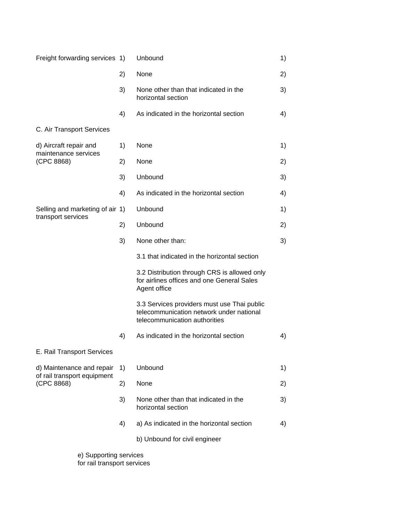| Freight forwarding services 1)                 |    | Unbound                                                                                                                  | 1) |
|------------------------------------------------|----|--------------------------------------------------------------------------------------------------------------------------|----|
|                                                | 2) | None                                                                                                                     | 2) |
|                                                | 3) | None other than that indicated in the<br>horizontal section                                                              | 3) |
|                                                | 4) | As indicated in the horizontal section                                                                                   | 4) |
| C. Air Transport Services                      |    |                                                                                                                          |    |
| d) Aircraft repair and<br>maintenance services | 1) | None                                                                                                                     | 1) |
| (CPC 8868)                                     | 2) | None                                                                                                                     | 2) |
|                                                | 3) | Unbound                                                                                                                  | 3) |
|                                                | 4) | As indicated in the horizontal section                                                                                   | 4) |
| Selling and marketing of air 1)                |    | Unbound                                                                                                                  | 1) |
| transport services                             | 2) | Unbound                                                                                                                  | 2) |
|                                                | 3) | None other than:                                                                                                         | 3) |
|                                                |    | 3.1 that indicated in the horizontal section                                                                             |    |
|                                                |    | 3.2 Distribution through CRS is allowed only<br>for airlines offices and one General Sales<br>Agent office               |    |
|                                                |    | 3.3 Services providers must use Thai public<br>telecommunication network under national<br>telecommunication authorities |    |
|                                                | 4) | As indicated in the horizontal section                                                                                   | 4) |
| E. Rail Transport Services                     |    |                                                                                                                          |    |
| d) Maintenance and repair                      | 1) | Unbound                                                                                                                  | 1) |
| of rail transport equipment<br>(CPC 8868)      | 2) | None                                                                                                                     | 2) |
|                                                | 3) | None other than that indicated in the<br>horizontal section                                                              | 3) |
|                                                | 4) | a) As indicated in the horizontal section                                                                                | 4) |
|                                                |    | b) Unbound for civil engineer                                                                                            |    |
| e) Supporting services                         |    |                                                                                                                          |    |

for rail transport services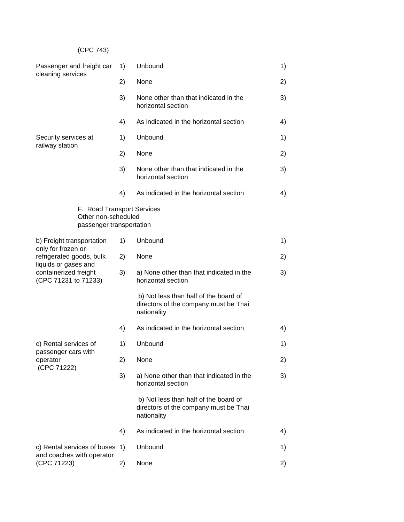# (CPC 743)

| Passenger and freight car<br>cleaning services                                                                                                       | 1) | Unbound                                                                                       | 1) |
|------------------------------------------------------------------------------------------------------------------------------------------------------|----|-----------------------------------------------------------------------------------------------|----|
|                                                                                                                                                      | 2) | None                                                                                          | 2) |
|                                                                                                                                                      | 3) | None other than that indicated in the<br>horizontal section                                   | 3) |
|                                                                                                                                                      | 4) | As indicated in the horizontal section                                                        | 4) |
| Security services at                                                                                                                                 | 1) | Unbound                                                                                       | 1) |
| railway station                                                                                                                                      | 2) | None                                                                                          | 2) |
|                                                                                                                                                      | 3) | None other than that indicated in the<br>horizontal section                                   | 3) |
|                                                                                                                                                      | 4) | As indicated in the horizontal section                                                        | 4) |
| F. Road Transport Services<br>Other non-scheduled<br>passenger transportation                                                                        |    |                                                                                               |    |
| b) Freight transportation<br>only for frozen or<br>refrigerated goods, bulk<br>liquids or gases and<br>containerized freight<br>(CPC 71231 to 71233) | 1) | Unbound                                                                                       | 1) |
|                                                                                                                                                      | 2) | None                                                                                          | 2) |
|                                                                                                                                                      | 3) | a) None other than that indicated in the<br>horizontal section                                | 3) |
|                                                                                                                                                      |    | b) Not less than half of the board of<br>directors of the company must be Thai<br>nationality |    |
|                                                                                                                                                      | 4) | As indicated in the horizontal section                                                        | 4) |
| c) Rental services of<br>passenger cars with<br>operator<br>(CPC 71222)                                                                              | 1) | Unbound                                                                                       | 1) |
|                                                                                                                                                      | 2) | None                                                                                          | 2) |
|                                                                                                                                                      | 3) | a) None other than that indicated in the<br>horizontal section                                | 3) |
|                                                                                                                                                      |    | b) Not less than half of the board of<br>directors of the company must be Thai<br>nationality |    |
|                                                                                                                                                      | 4) | As indicated in the horizontal section                                                        | 4) |
| c) Rental services of buses                                                                                                                          | 1) | Unbound                                                                                       | 1) |
| and coaches with operator<br>(CPC 71223)                                                                                                             | 2) | None                                                                                          | 2) |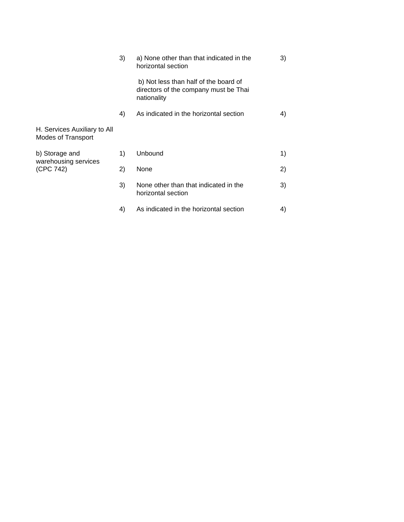|                                                    | 3) | a) None other than that indicated in the<br>horizontal section                                | 3) |
|----------------------------------------------------|----|-----------------------------------------------------------------------------------------------|----|
|                                                    |    | b) Not less than half of the board of<br>directors of the company must be Thai<br>nationality |    |
|                                                    | 4) | As indicated in the horizontal section                                                        | 4) |
| H. Services Auxiliary to All<br>Modes of Transport |    |                                                                                               |    |
| b) Storage and                                     | 1) | Unbound                                                                                       | 1) |
| warehousing services<br>(CPC 742)                  | 2) | None                                                                                          | 2) |
|                                                    | 3) | None other than that indicated in the<br>horizontal section                                   | 3) |
|                                                    | 4) | As indicated in the horizontal section                                                        | 4) |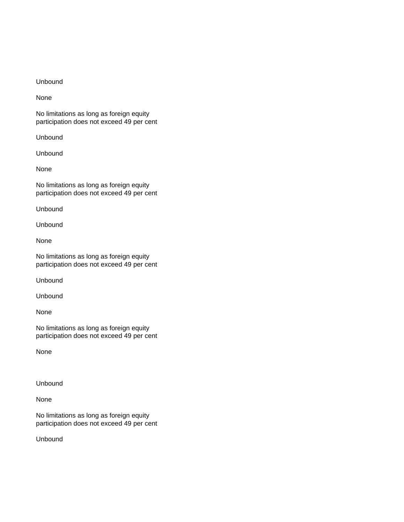#### Unbound

None

No limitations as long as foreign equity participation does not exceed 49 per cent

Unbound

Unbound

None

No limitations as long as foreign equity participation does not exceed 49 per cent

Unbound

Unbound

None

No limitations as long as foreign equity participation does not exceed 49 per cent

Unbound

Unbound

None

No limitations as long as foreign equity participation does not exceed 49 per cent

None

Unbound

None

No limitations as long as foreign equity participation does not exceed 49 per cent

Unbound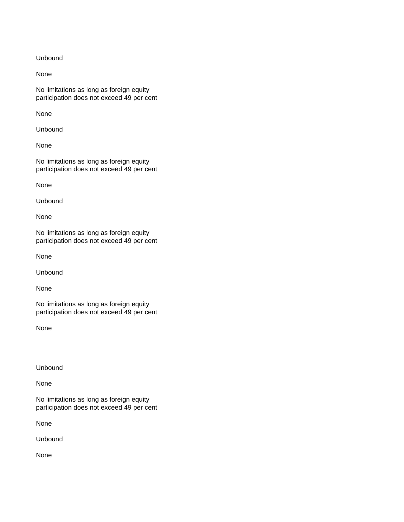Unbound

None

No limitations as long as foreign equity participation does not exceed 49 per cent

None

Unbound

None

No limitations as long as foreign equity participation does not exceed 49 per cent

None

Unbound

None

No limitations as long as foreign equity participation does not exceed 49 per cent

None

Unbound

None

No limitations as long as foreign equity participation does not exceed 49 per cent

None

Unbound

None

No limitations as long as foreign equity participation does not exceed 49 per cent

None

Unbound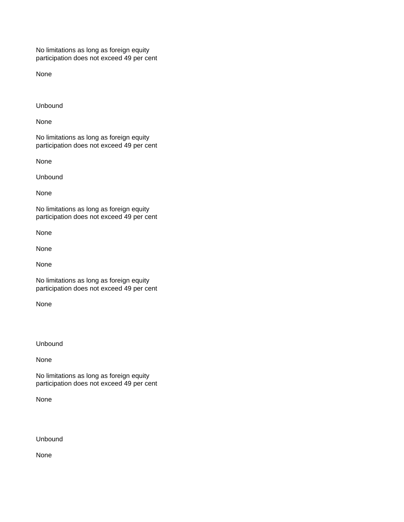No limitations as long as foreign equity participation does not exceed 49 per cent

None

Unbound

None

No limitations as long as foreign equity participation does not exceed 49 per cent

None

Unbound

None

No limitations as long as foreign equity participation does not exceed 49 per cent

None

None

None

No limitations as long as foreign equity participation does not exceed 49 per cent

None

Unbound

None

No limitations as long as foreign equity participation does not exceed 49 per cent

None

Unbound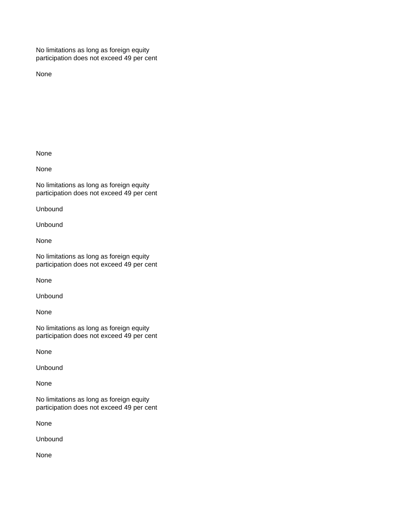No limitations as long as foreign equity participation does not exceed 49 per cent

None

None

None

No limitations as long as foreign equity participation does not exceed 49 per cent

Unbound

Unbound

None

No limitations as long as foreign equity participation does not exceed 49 per cent

None

Unbound

None

No limitations as long as foreign equity participation does not exceed 49 per cent

None

Unbound

None

No limitations as long as foreign equity participation does not exceed 49 per cent

None

Unbound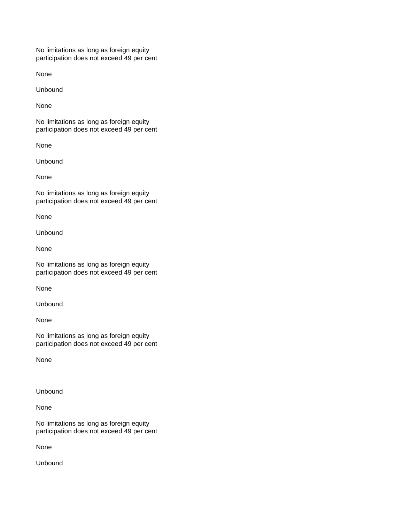No limitations as long as foreign equity participation does not exceed 49 per cent

None

Unbound

None

No limitations as long as foreign equity participation does not exceed 49 per cent

None

Unbound

None

No limitations as long as foreign equity participation does not exceed 49 per cent

None

Unbound

None

No limitations as long as foreign equity participation does not exceed 49 per cent

None

Unbound

None

No limitations as long as foreign equity participation does not exceed 49 per cent

None

Unbound

None

No limitations as long as foreign equity participation does not exceed 49 per cent

None

Unbound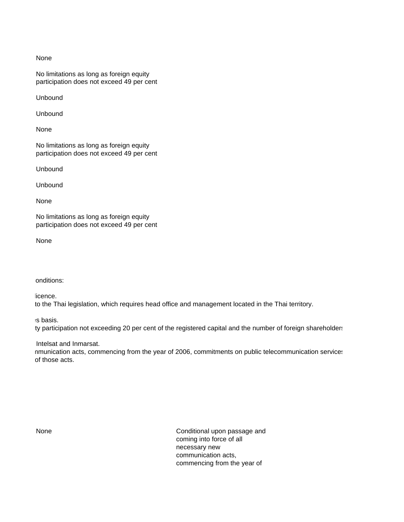#### None

No limitations as long as foreign equity participation does not exceed 49 per cent

Unbound

Unbound

None

No limitations as long as foreign equity participation does not exceed 49 per cent

Unbound

Unbound

None

No limitations as long as foreign equity participation does not exceed 49 per cent

None

Conditions:

- Each service to be supplied in The specific groups.

to the Thai legislation, which requires head office and management located in the Thai territory.

ervices in the services in the Specific Commitments shares.

ty participation not exceeding 20 per cent of the registered capital and the number of foreign shareholders

Intelsat and Inmarsat. nmunication acts, commencing from the year of 2006, commitments on public telecommunication services of those acts.

None **None** Conditional upon passage and coming into force of all necessary new communication acts, commencing from the year of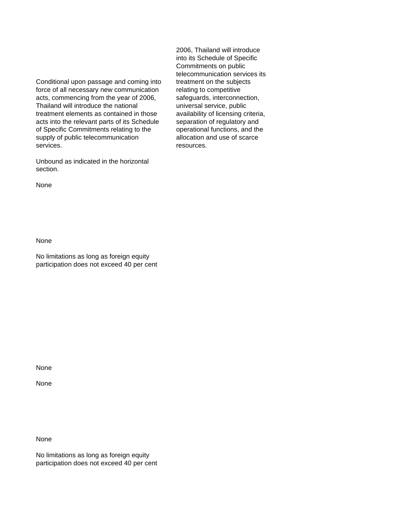Conditional upon passage and coming into treatment on the subjects force of all necessary new communication relating to competitive acts, commencing from the year of 2006, safeguards, interconnection, Thailand will introduce the national universal service, public treatment elements as contained in those availability of licensing criteria, acts into the relevant parts of its Schedule separation of regulatory and acts into the relevant parts of its Schedule of Specific Commitments relating to the operational functions, and the supply of public telecommunication allocation and use of scarce services. The contract of the contract of the contract of the contract of the contract of the contract of the contract of the contract of the contract of the contract of the contract of the contract of the contract of the

Unbound as indicated in the horizontal section.

None

None

No limitations as long as foreign equity participation does not exceed 40 per cent

None

None

None

No limitations as long as foreign equity participation does not exceed 40 per cent 2006, Thailand will introduce into its Schedule of Specific Commitments on public telecommunication services its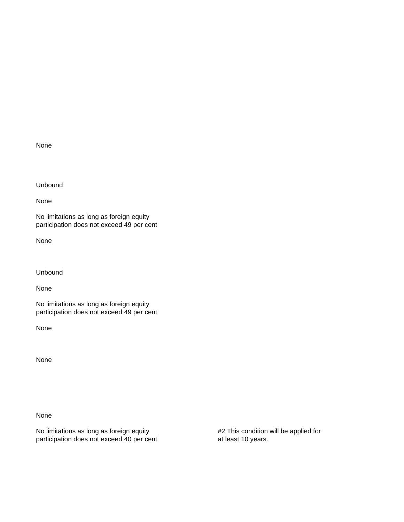None

Unbound

None

No limitations as long as foreign equity participation does not exceed 49 per cent

None

Unbound

None

No limitations as long as foreign equity participation does not exceed 49 per cent

None

None

None

No limitations as long as foreign equity **#2** This condition will be applied for participation does not exceed 40 per cent at least 10 years.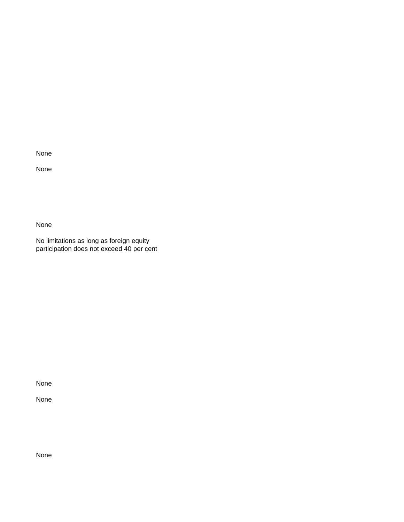None

None

None

No limitations as long as foreign equity participation does not exceed 40 per cent

None

None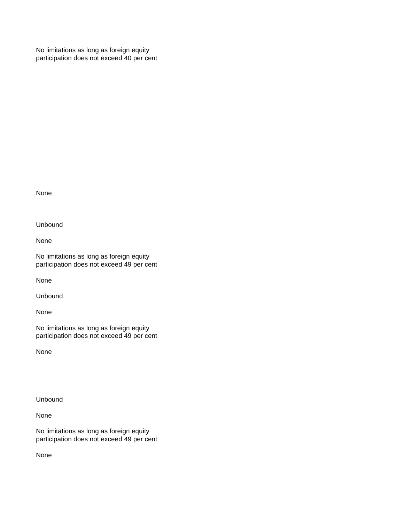No limitations as long as foreign equity participation does not exceed 40 per cent

None

Unbound

None

No limitations as long as foreign equity participation does not exceed 49 per cent

None

Unbound

None

No limitations as long as foreign equity participation does not exceed 49 per cent

None

Unbound

None

No limitations as long as foreign equity participation does not exceed 49 per cent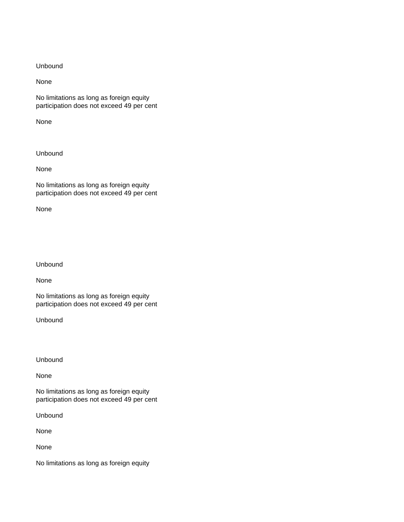None

No limitations as long as foreign equity participation does not exceed 49 per cent

None

Unbound

None

No limitations as long as foreign equity participation does not exceed 49 per cent

None

Unbound

None

No limitations as long as foreign equity participation does not exceed 49 per cent

Unbound

Unbound

None

No limitations as long as foreign equity participation does not exceed 49 per cent

Unbound

None

None

No limitations as long as foreign equity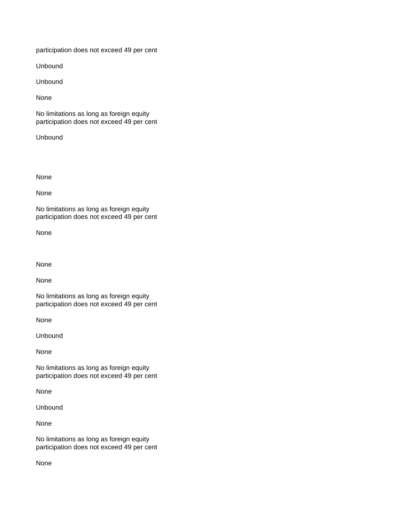participation does not exceed 49 per cent

Unbound

Unbound

None

No limitations as long as foreign equity participation does not exceed 49 per cent

Unbound

None

None

No limitations as long as foreign equity participation does not exceed 49 per cent

None

None

None

No limitations as long as foreign equity participation does not exceed 49 per cent

None

Unbound

None

No limitations as long as foreign equity participation does not exceed 49 per cent

None

Unbound

None

No limitations as long as foreign equity participation does not exceed 49 per cent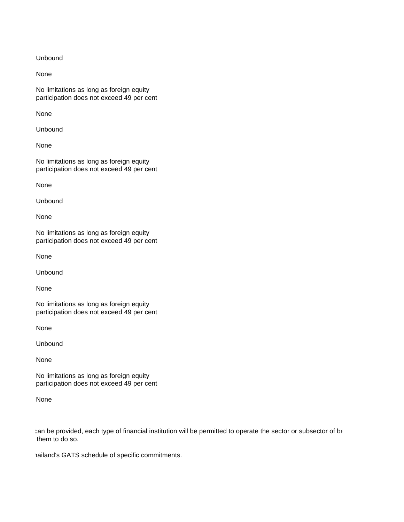None

No limitations as long as foreign equity participation does not exceed 49 per cent

None

Unbound

None

No limitations as long as foreign equity participation does not exceed 49 per cent

None

Unbound

None

No limitations as long as foreign equity participation does not exceed 49 per cent

None

Unbound

None

No limitations as long as foreign equity participation does not exceed 49 per cent

None

Unbound

None

No limitations as long as foreign equity participation does not exceed 49 per cent

None

can be provided, each type of financial institution will be permitted to operate the sector or subsector of ba them to do so.

hail and's GATS schedule of specific commitments.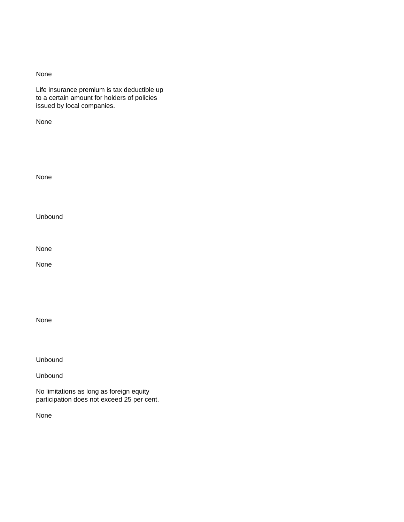Life insurance premium is tax deductible up to a certain amount for holders of policies issued by local companies.

None

None Unbound None None

None

Unbound

Unbound

No limitations as long as foreign equity participation does not exceed 25 per cent.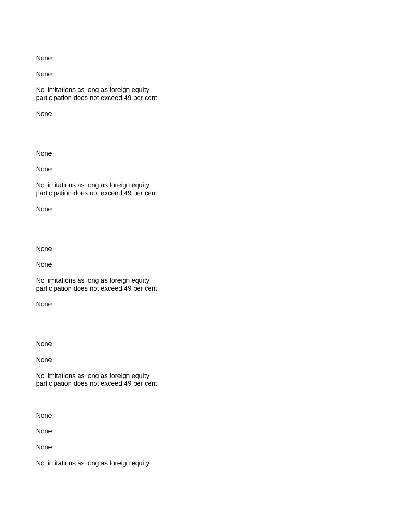None

No limitations as long as foreign equity participation does not exceed 49 per cent.

None

None

None

No limitations as long as foreign equity participation does not exceed 49 per cent.

None

None

None

No limitations as long as foreign equity participation does not exceed 49 per cent.

None

None

None

No limitations as long as foreign equity participation does not exceed 49 per cent.

None

None

None

No limitations as long as foreign equity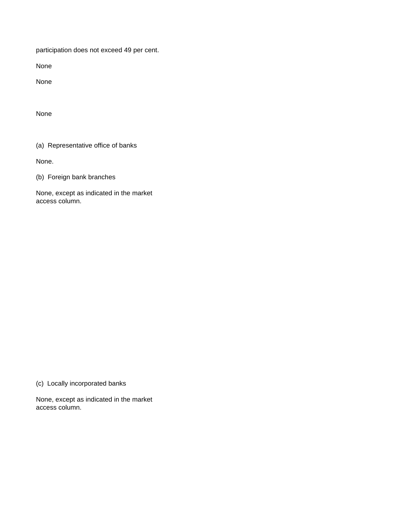participation does not exceed 49 per cent.

None

None

None

(a) Representative office of banks

None.

(b) Foreign bank branches

None, except as indicated in the market access column.

(c) Locally incorporated banks

None, except as indicated in the market access column.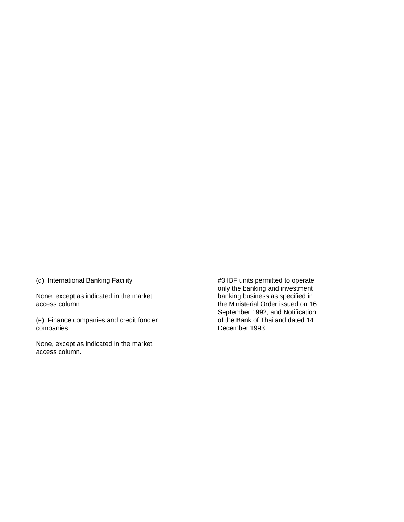(d) International Banking Facility **Accord 12 IS and Accord 13 IBF** units permitted to operate

None, except as indicated in the market banking business as specified in<br>access column banking business as specified in<br>the Ministerial Order issued on 16

(e) Finance companies and credit foncier companies **December 1993.** 

None, except as indicated in the market access column.

 only the banking and investment the Ministerial Order issued on 16 September 1992, and Notification<br>of the Bank of Thailand dated 14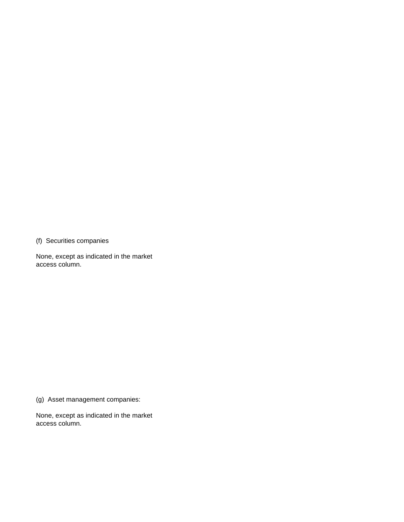(f) Securities companies

None, except as indicated in the market access column.

(g) Asset management companies:

None, except as indicated in the market access column.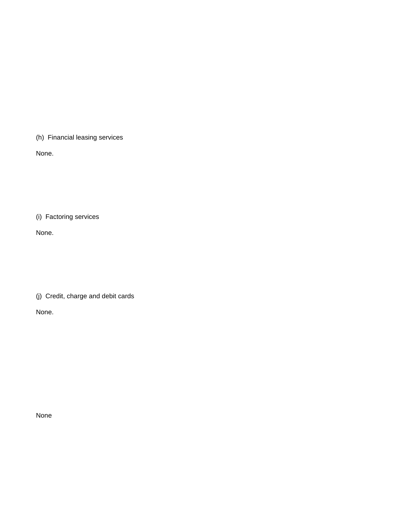(h) Financial leasing services

None.

(i) Factoring services

None.

(j) Credit, charge and debit cards

None.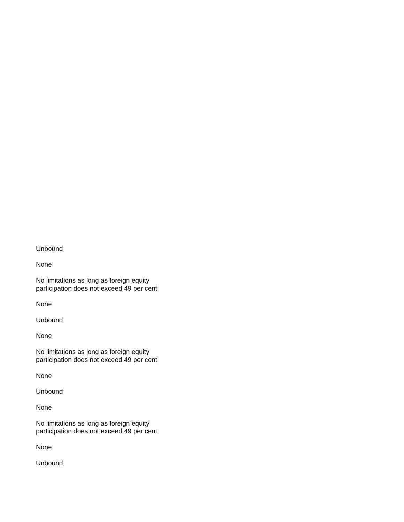None

No limitations as long as foreign equity participation does not exceed 49 per cent

None

Unbound

None

No limitations as long as foreign equity participation does not exceed 49 per cent

None

Unbound

None

No limitations as long as foreign equity participation does not exceed 49 per cent

None

Unbound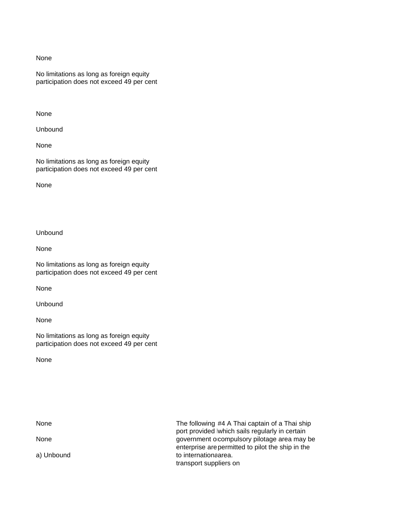No limitations as long as foreign equity participation does not exceed 49 per cent

None

Unbound

None

No limitations as long as foreign equity participation does not exceed 49 per cent

None

Unbound

None

No limitations as long as foreign equity participation does not exceed 49 per cent

None

Unbound

None

No limitations as long as foreign equity participation does not exceed 49 per cent

None

None None The following #4 A Thai captain of a Thai ship port provided lwhich sails regularly in certain None **government or government** or government or government or a may be enterprise are permitted to pilot the ship in the a) Unbound to international market and the international market area. transport suppliers on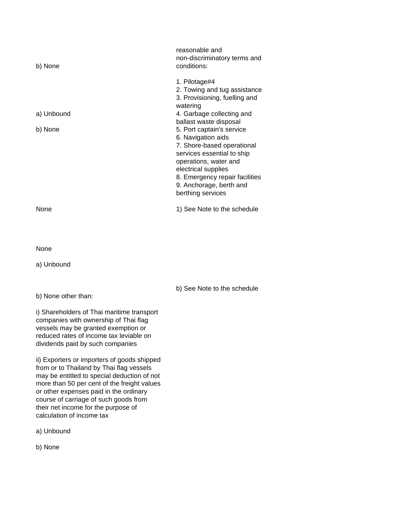| b) None                                                                                                                                                                                                   | reasonable and<br>non-discriminatory terms and<br>conditions:                                                                                                                                                    |
|-----------------------------------------------------------------------------------------------------------------------------------------------------------------------------------------------------------|------------------------------------------------------------------------------------------------------------------------------------------------------------------------------------------------------------------|
| a) Unbound<br>b) None                                                                                                                                                                                     | 1. Pilotage#4<br>2. Towing and tug assistance<br>3. Provisioning, fuelling and<br>watering<br>4. Garbage collecting and<br>ballast waste disposal<br>5. Port captain's service                                   |
|                                                                                                                                                                                                           | 6. Navigation aids<br>7. Shore-based operational<br>services essential to ship<br>operations, water and<br>electrical supplies<br>8. Emergency repair facilities<br>9. Anchorage, berth and<br>berthing services |
| None                                                                                                                                                                                                      | 1) See Note to the schedule                                                                                                                                                                                      |
|                                                                                                                                                                                                           |                                                                                                                                                                                                                  |
| None                                                                                                                                                                                                      |                                                                                                                                                                                                                  |
| a) Unbound                                                                                                                                                                                                |                                                                                                                                                                                                                  |
| b) None other than:                                                                                                                                                                                       | b) See Note to the schedule                                                                                                                                                                                      |
| i) Shareholders of Thai maritime transport<br>companies with ownership of Thai flag<br>vessels may be granted exemption or<br>reduced rates of income tax leviable on<br>dividends paid by such companies |                                                                                                                                                                                                                  |
| ii) Exporters or importers of goods shipped<br>from or to Thailand by Thai flag vessels                                                                                                                   |                                                                                                                                                                                                                  |

may be entitled to special deduction of not more than 50 per cent of the freight values or other expenses paid in the ordinary course of carriage of such goods from their net income for the purpose of calculation of income tax

a) Unbound

b) None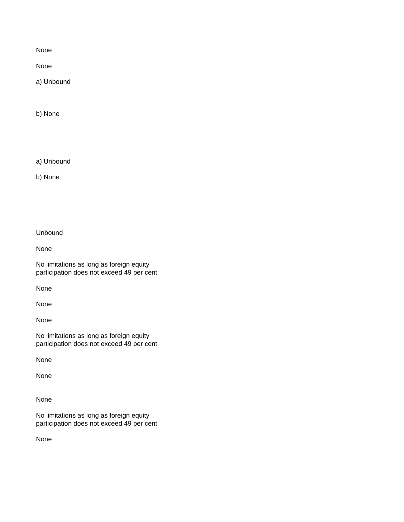None

a) Unbound

b) None

a) Unbound

b) None

Unbound

None

No limitations as long as foreign equity participation does not exceed 49 per cent

None

None

None

No limitations as long as foreign equity participation does not exceed 49 per cent

None

None

None

No limitations as long as foreign equity participation does not exceed 49 per cent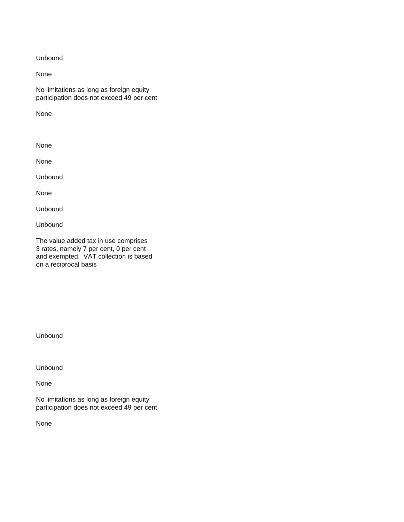None

No limitations as long as foreign equity participation does not exceed 49 per cent

None

None

None

Unbound

None

Unbound

Unbound

The value added tax in use comprises 3 rates, namely 7 per cent, 0 per cent and exempted. VAT collection is based on a reciprocal basis

Unbound

Unbound

None

No limitations as long as foreign equity participation does not exceed 49 per cent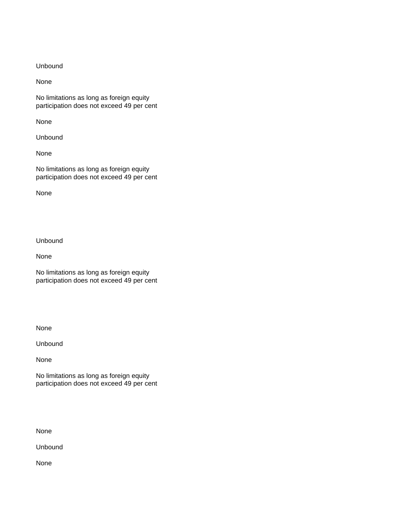None

No limitations as long as foreign equity participation does not exceed 49 per cent

None

Unbound

None

No limitations as long as foreign equity participation does not exceed 49 per cent

None

Unbound

None

No limitations as long as foreign equity participation does not exceed 49 per cent

None

Unbound

None

No limitations as long as foreign equity participation does not exceed 49 per cent

None

Unbound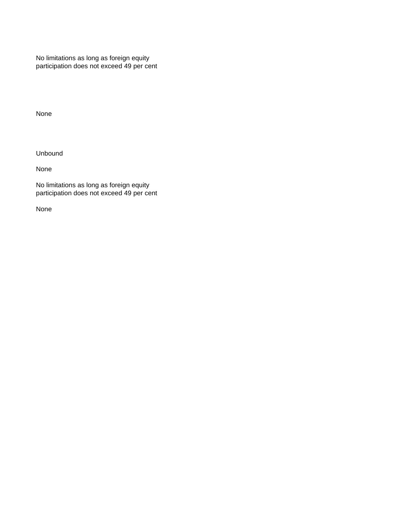No limitations as long as foreign equity participation does not exceed 49 per cent

None

Unbound

None

No limitations as long as foreign equity participation does not exceed 49 per cent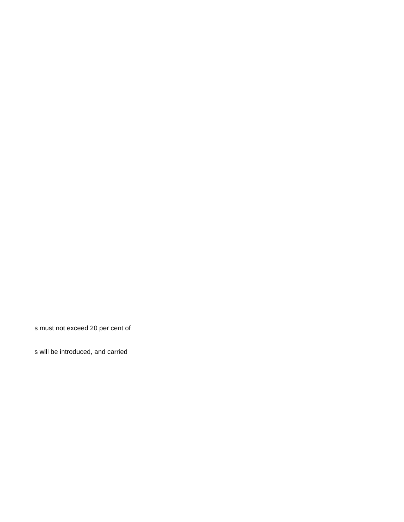s must not exceed 20 per cent of

s will be introduced, and carried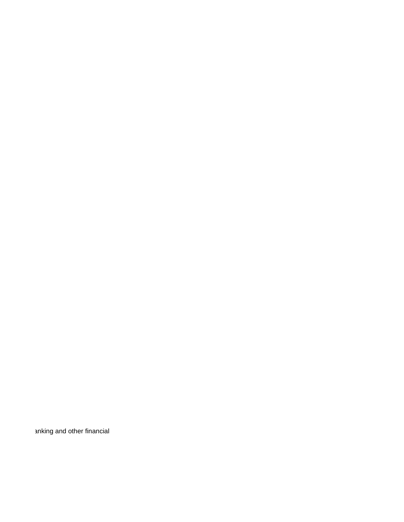anking and other financial